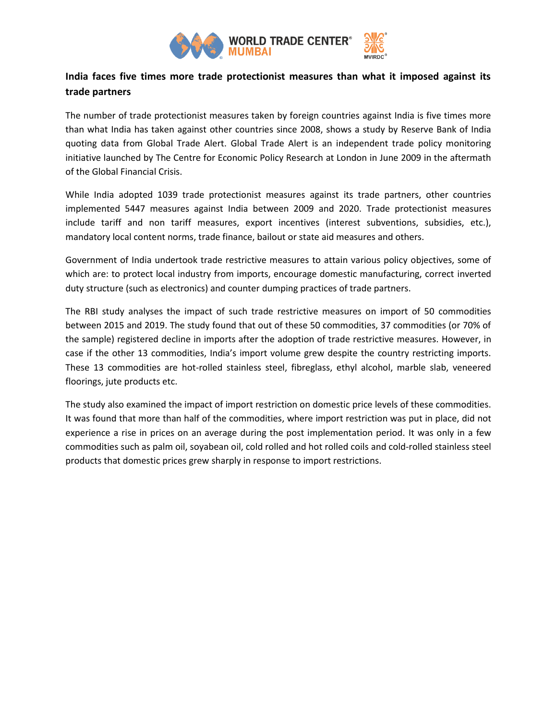

## **India faces five times more trade protectionist measures than what it imposed against its trade partners**

The number of trade protectionist measures taken by foreign countries against India is five times more than what India has taken against other countries since 2008, shows a study by Reserve Bank of India quoting data from Global Trade Alert. Global Trade Alert is an independent trade policy monitoring initiative launched by The Centre for Economic Policy Research at London in June 2009 in the aftermath of the Global Financial Crisis.

While India adopted 1039 trade protectionist measures against its trade partners, other countries implemented 5447 measures against India between 2009 and 2020. Trade protectionist measures include tariff and non tariff measures, export incentives (interest subventions, subsidies, etc.), mandatory local content norms, trade finance, bailout or state aid measures and others.

Government of India undertook trade restrictive measures to attain various policy objectives, some of which are: to protect local industry from imports, encourage domestic manufacturing, correct inverted duty structure (such as electronics) and counter dumping practices of trade partners.

The RBI study analyses the impact of such trade restrictive measures on import of 50 commodities between 2015 and 2019. The study found that out of these 50 commodities, 37 commodities (or 70% of the sample) registered decline in imports after the adoption of trade restrictive measures. However, in case if the other 13 commodities, India's import volume grew despite the country restricting imports. These 13 commodities are hot-rolled stainless steel, fibreglass, ethyl alcohol, marble slab, veneered floorings, jute products etc.

The study also examined the impact of import restriction on domestic price levels of these commodities. It was found that more than half of the commodities, where import restriction was put in place, did not experience a rise in prices on an average during the post implementation period. It was only in a few commodities such as palm oil, soyabean oil, cold rolled and hot rolled coils and cold-rolled stainless steel products that domestic prices grew sharply in response to import restrictions.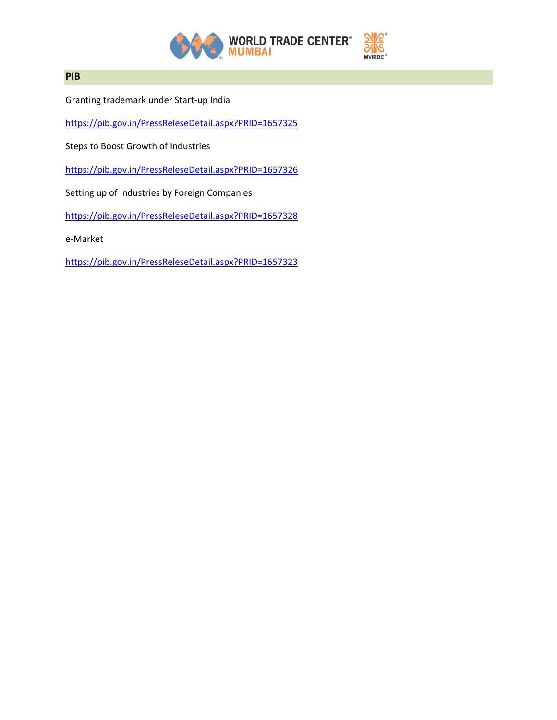

## **PIB**

Granting trademark under Start-up India

<https://pib.gov.in/PressReleseDetail.aspx?PRID=1657325>

Steps to Boost Growth of Industries

<https://pib.gov.in/PressReleseDetail.aspx?PRID=1657326>

Setting up of Industries by Foreign Companies

<https://pib.gov.in/PressReleseDetail.aspx?PRID=1657328>

e-Market

<https://pib.gov.in/PressReleseDetail.aspx?PRID=1657323>